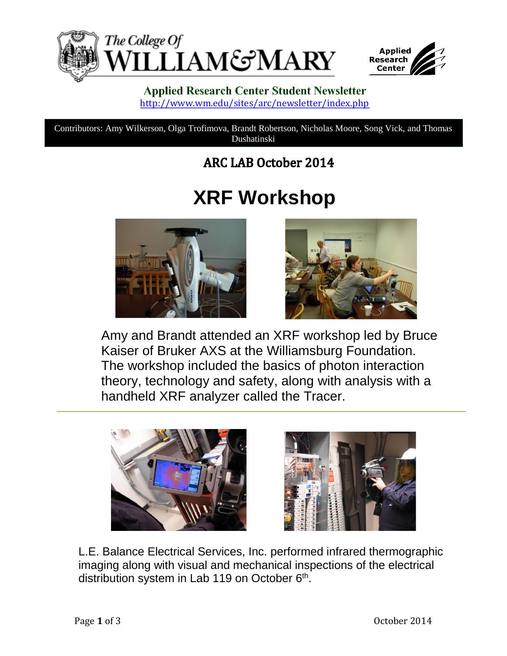



#### **Applied Research Center Student Newsletter** <http://www.wm.edu/sites/arc/newsletter/index.php>

Contributors: Amy Wilkerson, Olga Trofimova, Brandt Robertson, Nicholas Moore, Song Vick, and Thomas Dushatinski

### **ARC LAB October 2014**

## **XRF Workshop**





Amy and Brandt attended an XRF workshop led by Bruce Kaiser of Bruker AXS at the Williamsburg Foundation. The workshop included the basics of photon interaction theory, technology and safety, along with analysis with a handheld XRF analyzer called the Tracer.





L.E. Balance Electrical Services, Inc. performed infrared thermographic imaging along with visual and mechanical inspections of the electrical distribution system in Lab 119 on October 6<sup>th</sup>.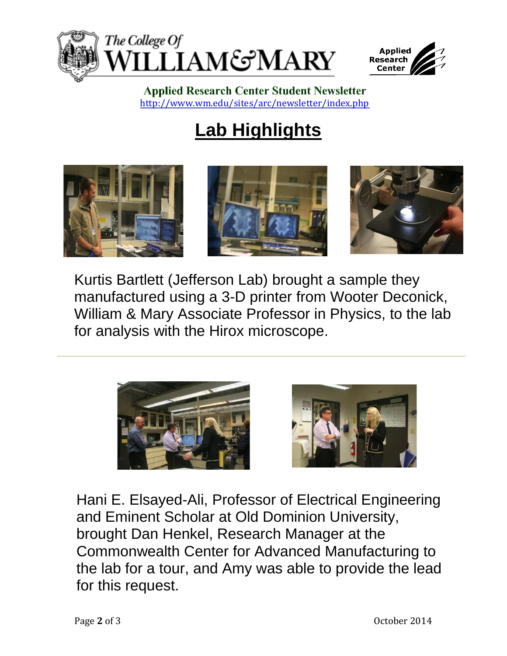



**Applied Research Center Student Newsletter** <http://www.wm.edu/sites/arc/newsletter/index.php>

# **Lab Highlights**



Kurtis Bartlett (Jefferson Lab) brought a sample they manufactured using a 3-D printer from Wooter Deconick, William & Mary Associate Professor in Physics, to the lab for analysis with the Hirox microscope.





Hani E. Elsayed-Ali, Professor of Electrical Engineering and Eminent Scholar at Old Dominion University, brought Dan Henkel, Research Manager at the Commonwealth Center for Advanced Manufacturing to the lab for a tour, and Amy was able to provide the lead for this request.